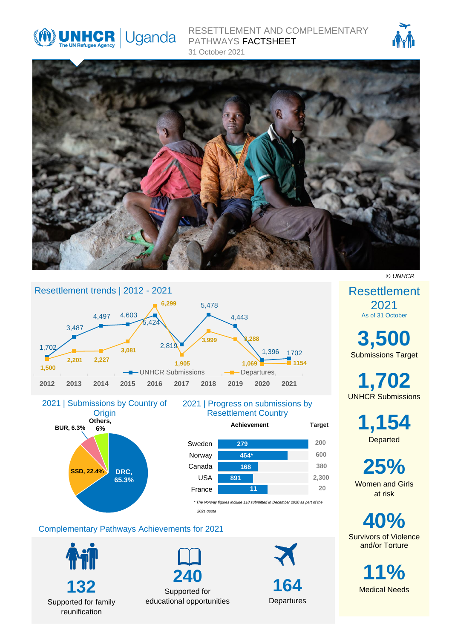

RESETTLEMENT AND COMPLEMENTARY PATHWAYS FACTSHEET 31 October 2021







## 2021 | Progress on submissions by Resettlement Country **BUR, 6.3% Others, 6%** 2021 | Submissions by Country of **Origin**

**DRC, 65.3%**



*2021 quota*

# Complementary Pathways Achievements for 2021



**SSD, 22.4%**

Supported for family reunification

**240** Supported for educational opportunities

**164 Departures** 

**Achievement Target**

**380**

**2,300**

**200**

**600**

**20**

*© UNHCR*

Resettlement 2021 As of 31 October

**3,500** Submissions Target

**1,702** UNHCR Submissions

> **1,154 Departed**

**25%** Women and Girls at risk

**40%** Survivors of Violence and/or Torture

> **11%** Medical Needs